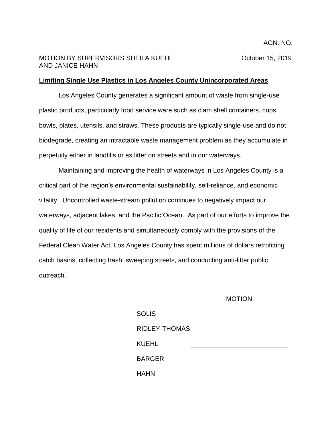## MOTION BY SUPERVISORS SHEILA KUEHL **NAMEL COMPOSE** October 15, 2019 AND JANICE HAHN

## **Limiting Single Use Plastics in Los Angeles County Unincorporated Areas**

Los Angeles County generates a significant amount of waste from single-use plastic products, particularly food service ware such as clam shell containers, cups, bowls, plates, utensils, and straws. These products are typically single-use and do not biodegrade, creating an intractable waste management problem as they accumulate in perpetuity either in landfills or as litter on streets and in our waterways.

Maintaining and improving the health of waterways in Los Angeles County is a critical part of the region's environmental sustainability, self-reliance, and economic vitality. Uncontrolled waste-stream pollution continues to negatively impact our waterways, adjacent lakes, and the Pacific Ocean. As part of our efforts to improve the quality of life of our residents and simultaneously comply with the provisions of the Federal Clean Water Act, Los Angeles County has spent millions of dollars retrofitting catch basins, collecting trash, sweeping streets, and conducting anti-litter public outreach.

## MOTION

| <b>SOLIS</b>  |  |
|---------------|--|
| RIDLEY-THOMAS |  |
| KUEHL         |  |
| <b>BARGER</b> |  |
| HAHN          |  |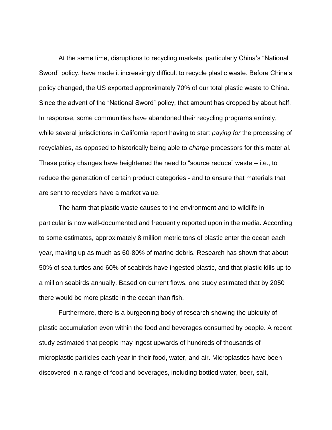At the same time, disruptions to recycling markets, particularly China's "National Sword" policy, have made it increasingly difficult to recycle plastic waste. Before China's policy changed, the US exported approximately 70% of our total plastic waste to China. Since the advent of the "National Sword" policy, that amount has dropped by about half. In response, some communities have abandoned their recycling programs entirely, while several jurisdictions in California report having to start *paying for* the processing of recyclables, as opposed to historically being able to *charge* processors for this material. These policy changes have heightened the need to "source reduce" waste – i.e., to reduce the generation of certain product categories - and to ensure that materials that are sent to recyclers have a market value.

The harm that plastic waste causes to the environment and to wildlife in particular is now well-documented and frequently reported upon in the media. According to some estimates, approximately 8 million metric tons of plastic enter the ocean each year, making up as much as 60-80% of marine debris. Research has shown that about 50% of sea turtles and 60% of seabirds have ingested plastic, and that plastic kills up to a million seabirds annually. Based on current flows, one study estimated that by 2050 there would be more plastic in the ocean than fish.

Furthermore, there is a burgeoning body of research showing the ubiquity of plastic accumulation even within the food and beverages consumed by people. A recent study estimated that people may ingest upwards of hundreds of thousands of microplastic particles each year in their food, water, and air. Microplastics have been discovered in a range of food and beverages, including bottled water, beer, salt,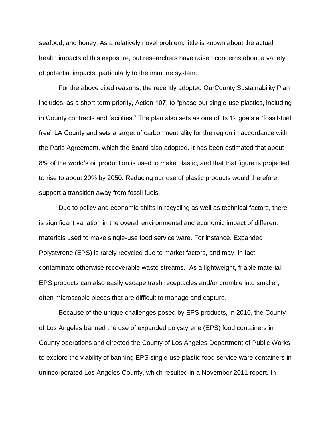seafood, and honey. As a relatively novel problem, little is known about the actual health impacts of this exposure, but researchers have raised concerns about a variety of potential impacts, particularly to the immune system.

For the above cited reasons, the recently adopted OurCounty Sustainability Plan includes, as a short-term priority, Action 107, to "phase out single-use plastics, including in County contracts and facilities." The plan also sets as one of its 12 goals a "fossil-fuel free" LA County and sets a target of carbon neutrality for the region in accordance with the Paris Agreement, which the Board also adopted. It has been estimated that about 8% of the world's oil production is used to make plastic, and that that figure is projected to rise to about 20% by 2050. Reducing our use of plastic products would therefore support a transition away from fossil fuels.

Due to policy and economic shifts in recycling as well as technical factors, there is significant variation in the overall environmental and economic impact of different materials used to make single-use food service ware. For instance, Expanded Polystyrene (EPS) is rarely recycled due to market factors, and may, in fact, contaminate otherwise recoverable waste streams. As a lightweight, friable material, EPS products can also easily escape trash receptacles and/or crumble into smaller, often microscopic pieces that are difficult to manage and capture.

Because of the unique challenges posed by EPS products, in 2010, the County of Los Angeles banned the use of expanded polystyrene (EPS) food containers in County operations and directed the County of Los Angeles Department of Public Works to explore the viability of banning EPS single-use plastic food service ware containers in unincorporated Los Angeles County, which resulted in a November 2011 report. In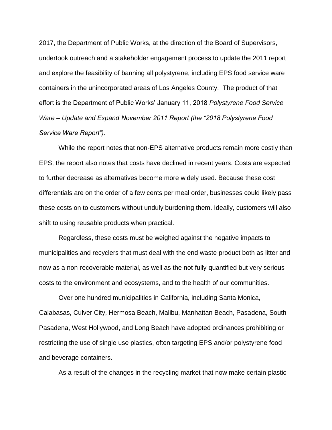2017, the Department of Public Works, at the direction of the Board of Supervisors, undertook outreach and a stakeholder engagement process to update the 2011 report and explore the feasibility of banning all polystyrene, including EPS food service ware containers in the unincorporated areas of Los Angeles County. The product of that effort is the Department of Public Works' January 11, 2018 *Polystyrene Food Service Ware – Update and Expand November 2011 Report (the "2018 Polystyrene Food Service Ware Report").*

While the report notes that non-EPS alternative products remain more costly than EPS, the report also notes that costs have declined in recent years. Costs are expected to further decrease as alternatives become more widely used. Because these cost differentials are on the order of a few cents per meal order, businesses could likely pass these costs on to customers without unduly burdening them. Ideally, customers will also shift to using reusable products when practical.

Regardless, these costs must be weighed against the negative impacts to municipalities and recyclers that must deal with the end waste product both as litter and now as a non-recoverable material, as well as the not-fully-quantified but very serious costs to the environment and ecosystems, and to the health of our communities.

Over one hundred municipalities in California, including Santa Monica, Calabasas, Culver City, Hermosa Beach, Malibu, Manhattan Beach, Pasadena, South Pasadena, West Hollywood, and Long Beach have adopted ordinances prohibiting or restricting the use of single use plastics, often targeting EPS and/or polystyrene food and beverage containers.

As a result of the changes in the recycling market that now make certain plastic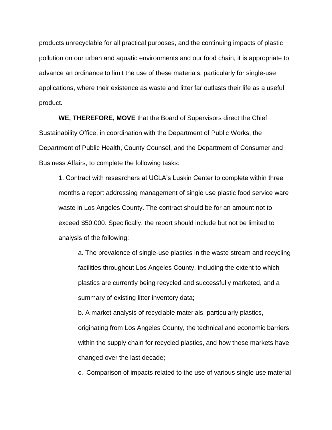products unrecyclable for all practical purposes, and the continuing impacts of plastic pollution on our urban and aquatic environments and our food chain, it is appropriate to advance an ordinance to limit the use of these materials, particularly for single-use applications, where their existence as waste and litter far outlasts their life as a useful product.

**WE, THEREFORE, MOVE** that the Board of Supervisors direct the Chief Sustainability Office, in coordination with the Department of Public Works, the Department of Public Health, County Counsel, and the Department of Consumer and Business Affairs, to complete the following tasks:

1. Contract with researchers at UCLA's Luskin Center to complete within three months a report addressing management of single use plastic food service ware waste in Los Angeles County. The contract should be for an amount not to exceed \$50,000. Specifically, the report should include but not be limited to analysis of the following:

a. The prevalence of single-use plastics in the waste stream and recycling facilities throughout Los Angeles County, including the extent to which plastics are currently being recycled and successfully marketed, and a summary of existing litter inventory data;

b. A market analysis of recyclable materials, particularly plastics, originating from Los Angeles County, the technical and economic barriers within the supply chain for recycled plastics, and how these markets have changed over the last decade;

c. Comparison of impacts related to the use of various single use material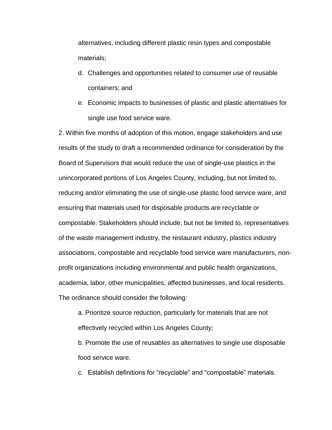alternatives, including different plastic resin types and compostable materials;

- d. Challenges and opportunities related to consumer use of reusable containers; and
- e. Economic impacts to businesses of plastic and plastic alternatives for single use food service ware.

2. Within five months of adoption of this motion, engage stakeholders and use results of the study to draft a recommended ordinance for consideration by the Board of Supervisors that would reduce the use of single-use plastics in the unincorporated portions of Los Angeles County, including, but not limited to, reducing and/or eliminating the use of single-use plastic food service ware, and ensuring that materials used for disposable products are recyclable or compostable. Stakeholders should include, but not be limited to, representatives of the waste management industry, the restaurant industry, plastics industry associations, compostable and recyclable food service ware manufacturers, nonprofit organizations including environmental and public health organizations, academia, labor, other municipalities, affected businesses, and local residents. The ordinance should consider the following:

a. Prioritize source reduction, particularly for materials that are not effectively recycled within Los Angeles County;

b. Promote the use of reusables as alternatives to single use disposable food service ware.

c. Establish definitions for "recyclable" and "compostable" materials.